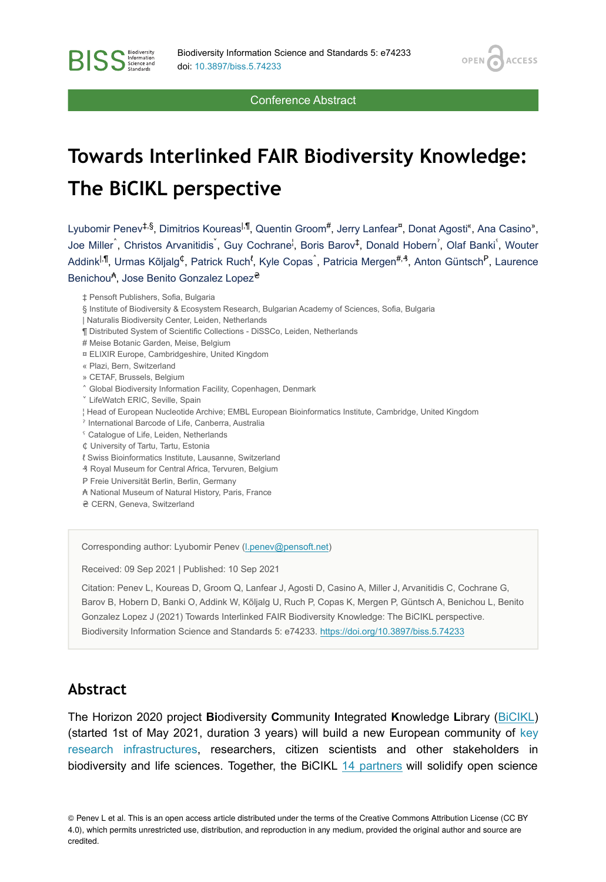**OPEN** 

**ACCESS** 

Conference Abstract

# **Towards Interlinked FAIR Biodiversity Knowledge: The BiCIKL perspective**

Lyubomir Penev‡.§, Dimitrios Koureas<sup>I,¶</sup>, Quentin Groom<sup>#</sup>, Jerry Lanfear<sup>¤</sup>, Donat Agosti<sup>«</sup>, Ana Casino», Joe Miller^, Christos Arvanitidis`, Guy Cochrane<sup>l</sup>, Boris Barov<sup>‡</sup>, Donald Hobern<sup>'</sup>, Olaf Banki<sup>s</sup>, Wouter Addink<sup>|,¶</sup>, Urmas Kõljalg<sup>¢</sup>, Patrick Ruch<sup>t</sup>, Kyle Copas ̂, Patricia Mergen<sup>#,⊰</sup>, Anton Güntsch<sup>P</sup>, Laurence Benichou<sup>A</sup>, Jose Benito Gonzalez Lopez<sup>e</sup>

‡ Pensoft Publishers, Sofia, Bulgaria

- ¶ Distributed System of Scientific Collections DiSSCo, Leiden, Netherlands
- # Meise Botanic Garden, Meise, Belgium
- ¤ ELIXIR Europe, Cambridgeshire, United Kingdom
- « Plazi, Bern, Switzerland

**BISS** Steince and

- » CETAF, Brussels, Belgium
- ˄ Global Biodiversity Information Facility, Copenhagen, Denmark
- ˅ LifeWatch ERIC, Seville, Spain
- ¦ Head of European Nucleotide Archive; EMBL European Bioinformatics Institute, Cambridge, United Kingdom
- ˀ International Barcode of Life, Canberra, Australia
- ˁ Catalogue of Life, Leiden, Netherlands
- ₵ University of Tartu, Tartu, Estonia
- ℓ Swiss Bioinformatics Institute, Lausanne, Switzerland
- ₰ Royal Museum for Central Africa, Tervuren, Belgium
- P Freie Universität Berlin, Berlin, Germany
- ₳ National Museum of Natural History, Paris, France
- ₴ CERN, Geneva, Switzerland

Corresponding author: Lyubomir Penev [\(l.penev@pensoft.net](mailto:l.penev@pensoft.net))

Received: 09 Sep 2021 | Published: 10 Sep 2021

Citation: Penev L, Koureas D, Groom Q, Lanfear J, Agosti D, Casino A, Miller J, Arvanitidis C, Cochrane G, Barov B, Hobern D, Banki O, Addink W, Kõljalg U, Ruch P, Copas K, Mergen P, Güntsch A, Benichou L, Benito Gonzalez Lopez J (2021) Towards Interlinked FAIR Biodiversity Knowledge: The BiCIKL perspective. Biodiversity Information Science and Standards 5: e74233. <https://doi.org/10.3897/biss.5.74233>

#### **Abstract**

The Horizon 2020 project **Bi**odiversity **C**ommunity **I**ntegrated **K**nowledge **L**ibrary [\(BiCIKL](http://bicikl-project.eu)) (started 1st of May 2021, duration 3 years) will build a new European community of [key](https://bicikl-project.eu/research-infrastructures) [research infrastructures](https://bicikl-project.eu/research-infrastructures), researchers, citizen scientists and other stakeholders in biodiversity and life sciences. Together, the BiCIKL [14 partners](https://bicikl-project.eu/partners) will solidify open science

© Penev L et al. This is an open access article distributed under the terms of the Creative Commons Attribution License (CC BY 4.0), which permits unrestricted use, distribution, and reproduction in any medium, provided the original author and source are credited.

<sup>§</sup> Institute of Biodiversity & Ecosystem Research, Bulgarian Academy of Sciences, Sofia, Bulgaria

<sup>|</sup> Naturalis Biodiversity Center, Leiden, Netherlands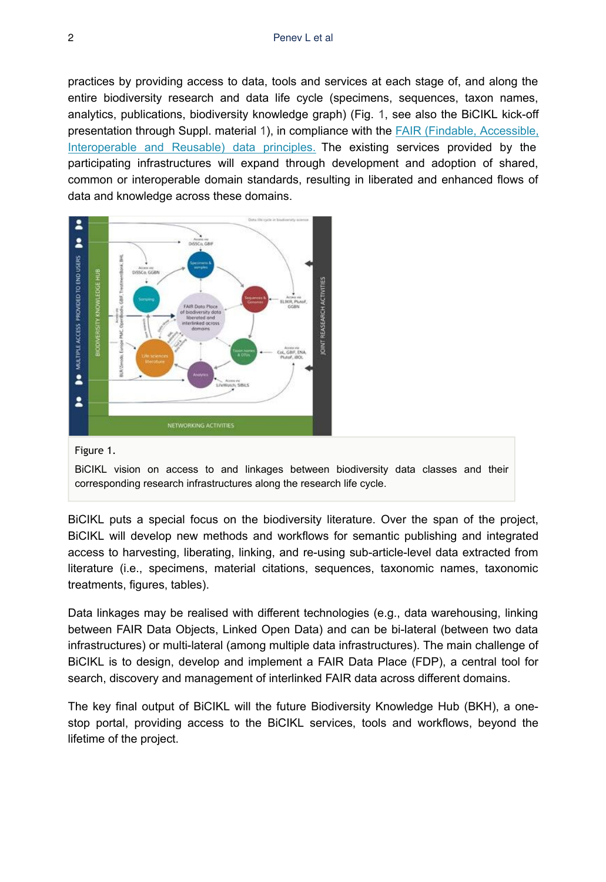practices by providing access to data, tools and services at each stage of, and along the entire biodiversity research and data life cycle (specimens, sequences, taxon names, analytics, publications, biodiversity knowledge graph) (Fig. [1,](#page-1-0) see also the BiCIKL kick-off presentation through Suppl. material [1](#page-2-0)), in compliance with the [FAIR \(Findable, Accessible,](https://go-fair.org/fair-principles) [Interoperable and Reusable\) data principles.](https://go-fair.org/fair-principles) The existing services provided by the participating infrastructures will expand through development and adoption of shared, common or interoperable domain standards, resulting in liberated and enhanced flows of data and knowledge across these domains.

<span id="page-1-0"></span>

#### Figure 1.

BiCIKL vision on access to and linkages between biodiversity data classes and their corresponding research infrastructures along the research life cycle.

BiCIKL puts a special focus on the biodiversity literature. Over the span of the project, BiCIKL will develop new methods and workflows for semantic publishing and integrated access to harvesting, liberating, linking, and re-using sub-article-level data extracted from literature (i.e., specimens, material citations, sequences, taxonomic names, taxonomic treatments, figures, tables).

Data linkages may be realised with different technologies (e.g., data warehousing, linking between FAIR Data Objects, Linked Open Data) and can be bi-lateral (between two data infrastructures) or multi-lateral (among multiple data infrastructures). The main challenge of BiCIKL is to design, develop and implement a FAIR Data Place (FDP), a central tool for search, discovery and management of interlinked FAIR data across different domains.

The key final output of BiCIKL will the future Biodiversity Knowledge Hub (BKH), a onestop portal, providing access to the BiCIKL services, tools and workflows, beyond the lifetime of the project.